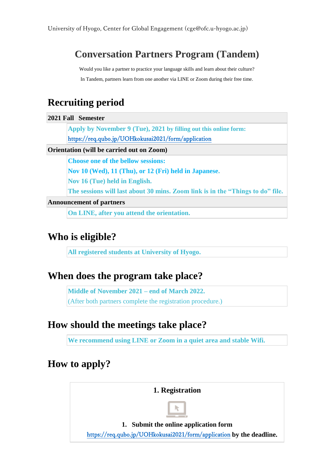# **Conversation Partners Program (Tandem)**

Would you like a partner to practice your language skills and learn about their culture? In Tandem, partners learn from one another via LINE or Zoom during their free time.

### **Recruiting period**

**2021 Fall Semester**

**Apply by November 9 (Tue), 2021 by filling out this online form:** <https://req.qubo.jp/UOHkokusai2021/form/application>

#### **Orientation (will be carried out on Zoom)**

**Choose one of the bellow sessions:**

**Nov 10 (Wed), 11 (Thu), or 12 (Fri) held in Japanese.** 

**Nov 16 (Tue) held in English.**

**The sessions will last about 30 mins. Zoom link is in the "Things to do" file.**

**Announcement of partners**

**On LINE, after you attend the orientation.**

### **Who is eligible?**

**All registered students at University of Hyogo.**

### **When does the program take place?**

**Middle of November 2021 – end of March 2022.** (After both partners complete the registration procedure.)

### **How should the meetings take place?**

**We recommend using LINE or Zoom in a quiet area and stable Wifi.** 

### **How to apply?**